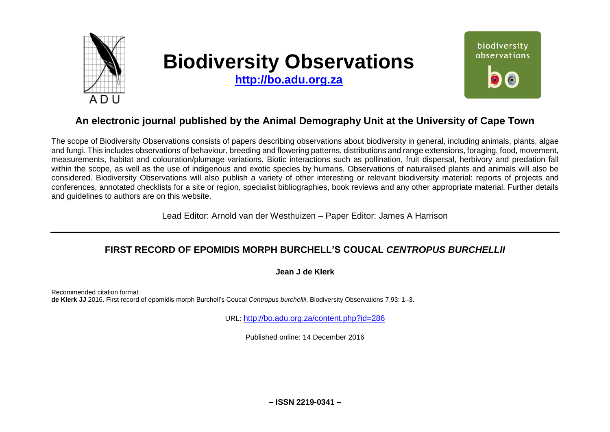

# **Biodiversity Observations**

**[http://bo.adu.org.za](http://bo.adu.org.za/)**



# **An electronic journal published by the Animal Demography Unit at the University of Cape Town**

The scope of Biodiversity Observations consists of papers describing observations about biodiversity in general, including animals, plants, algae and fungi. This includes observations of behaviour, breeding and flowering patterns, distributions and range extensions, foraging, food, movement, measurements, habitat and colouration/plumage variations. Biotic interactions such as pollination, fruit dispersal, herbivory and predation fall within the scope, as well as the use of indigenous and exotic species by humans. Observations of naturalised plants and animals will also be considered. Biodiversity Observations will also publish a variety of other interesting or relevant biodiversity material: reports of projects and conferences, annotated checklists for a site or region, specialist bibliographies, book reviews and any other appropriate material. Further details and guidelines to authors are on this website.

Lead Editor: Arnold van der Westhuizen – Paper Editor: James A Harrison

## **FIRST RECORD OF EPOMIDIS MORPH BURCHELL'S COUCAL** *CENTROPUS BURCHELLII*

**Jean J de Klerk**

Recommended citation format: **de Klerk JJ** 2016. First record of epomidis morph Burchell's Coucal *Centropus burchellii*. Biodiversity Observations 7.93: 1–3.

URL: <http://bo.adu.org.za/content.php?id=286>

Published online: 14 December 2016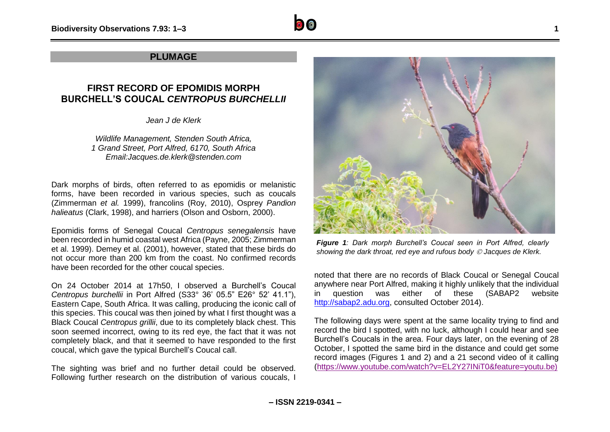## **PLUMAGE**

## **FIRST RECORD OF EPOMIDIS MORPH BURCHELL'S COUCAL** *CENTROPUS BURCHELLII*

*Jean J de Klerk*

*Wildlife Management, Stenden South Africa, 1 Grand Street, Port Alfred, 6170, South Africa Email:Jacques.de.klerk@stenden.com*

Dark morphs of birds, often referred to as epomidis or melanistic forms, have been recorded in various species, such as coucals (Zimmerman *et al.* 1999), francolins (Roy, 2010), Osprey *Pandion halieatus* (Clark, 1998), and harriers (Olson and Osborn, 2000).

Epomidis forms of Senegal Coucal *Centropus senegalensis* have been recorded in humid coastal west Africa (Payne, 2005; Zimmerman et al. 1999). Demey et al. (2001), however, stated that these birds do not occur more than 200 km from the coast. No confirmed records have been recorded for the other coucal species.

On 24 October 2014 at 17h50, I observed a Burchell's Coucal *Centropus burchellii* in Port Alfred (S33° 36' 05.5" E26° 52' 41.1"), Eastern Cape, South Africa. It was calling, producing the iconic call of this species. This coucal was then joined by what I first thought was a Black Coucal *Centropus grillii*, due to its completely black chest. This soon seemed incorrect, owing to its red eye, the fact that it was not completely black, and that it seemed to have responded to the first coucal, which gave the typical Burchell's Coucal call.

The sighting was brief and no further detail could be observed. Following further research on the distribution of various coucals, I



*Figure 1: Dark morph Burchell's Coucal seen in Port Alfred, clearly showing the dark throat, red eye and rufous body Jacques de Klerk.*

noted that there are no records of Black Coucal or Senegal Coucal anywhere near Port Alfred, making it highly unlikely that the individual in question was either of these (SABAP2 website [http://sabap2.adu.org,](http://sabap2.adu.org/) consulted October 2014).

The following days were spent at the same locality trying to find and record the bird I spotted, with no luck, although I could hear and see Burchell's Coucals in the area. Four days later, on the evening of 28 October, I spotted the same bird in the distance and could get some record images (Figures 1 and 2) and a 21 second video of it calling [\(https://www.youtube.com/watch?v=EL2Y27INiT0&feature=youtu.be\)](https://www.youtube.com/watch?v=EL2Y27INiT0&feature=youtu.be))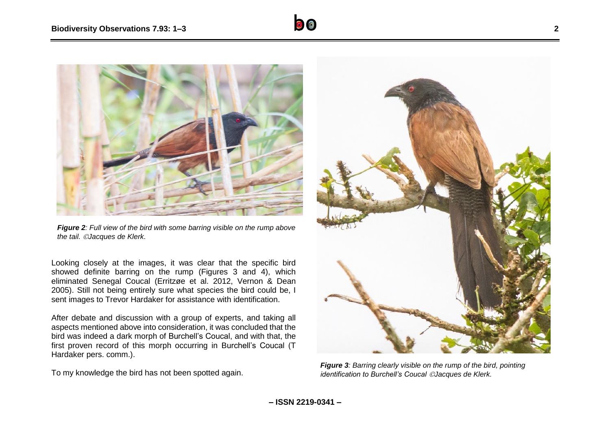

*Figure 2: Full view of the bird with some barring visible on the rump above the tail. Jacques de Klerk.*

Looking closely at the images, it was clear that the specific bird showed definite barring on the rump (Figures 3 and 4), which eliminated Senegal Coucal (Erritzøe et al. 2012, Vernon & Dean 2005). Still not being entirely sure what species the bird could be, I sent images to Trevor Hardaker for assistance with identification.

After debate and discussion with a group of experts, and taking all aspects mentioned above into consideration, it was concluded that the bird was indeed a dark morph of Burchell's Coucal, and with that, the first proven record of this morph occurring in Burchell's Coucal (T Hardaker pers. comm.).

To my knowledge the bird has not been spotted again.



*Figure 3: Barring clearly visible on the rump of the bird, pointing identification to Burchell's Coucal Jacques de Klerk.*